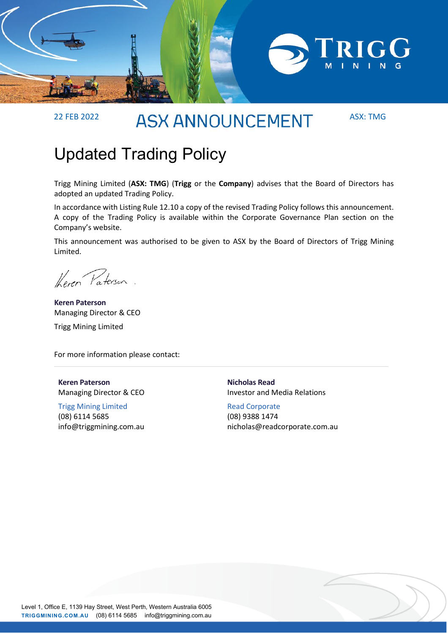

# 22 FEB 2022 ASX: TMG

## Updated Trading Policy

Trigg Mining Limited (**ASX: TMG**) (**Trigg** or the **Company**) advises that the Board of Directors has adopted an updated Trading Policy.

In accordance with Listing Rule 12.10 a copy of the revised Trading Policy follows this announcement. A copy of the Trading Policy is available within the Corporate Governance Plan section on the Company's website.

This announcement was authorised to be given to ASX by the Board of Directors of Trigg Mining Limited.

Keren Paterson.

**Keren Paterson**  Managing Director & CEO Trigg Mining Limited

For more information please contact:

**Keren Paterson**  Managing Director & CEO

Trigg Mining Limited (08) 6114 5685 info@triggmining.com.au **Nicholas Read**  Investor and Media Relations

Read Corporate (08) 9388 1474 nicholas@readcorporate.com.au

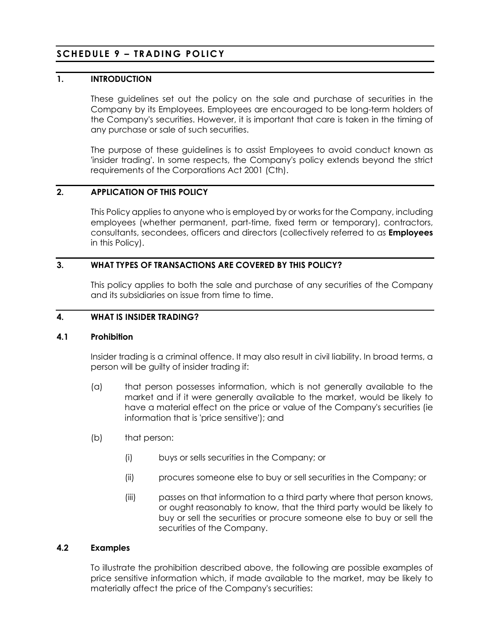## **SCHEDULE 9 – TRADING POLICY**

## **1. INTRODUCTION**

These guidelines set out the policy on the sale and purchase of securities in the Company by its Employees. Employees are encouraged to be long-term holders of the Company's securities. However, it is important that care is taken in the timing of any purchase or sale of such securities.

The purpose of these guidelines is to assist Employees to avoid conduct known as 'insider trading'. In some respects, the Company's policy extends beyond the strict requirements of the Corporations Act 2001 (Cth).

#### **2. APPLICATION OF THIS POLICY**

This Policy applies to anyone who is employed by or works for the Company, including employees (whether permanent, part-time, fixed term or temporary), contractors, consultants, secondees, officers and directors (collectively referred to as **Employees** in this Policy).

#### **3. WHAT TYPES OF TRANSACTIONS ARE COVERED BY THIS POLICY?**

This policy applies to both the sale and purchase of any securities of the Company and its subsidiaries on issue from time to time.

### **4. WHAT IS INSIDER TRADING?**

#### **4.1 Prohibition**

Insider trading is a criminal offence. It may also result in civil liability. In broad terms, a person will be guilty of insider trading if:

- (a) that person possesses information, which is not generally available to the market and if it were generally available to the market, would be likely to have a material effect on the price or value of the Company's securities (ie information that is 'price sensitive'); and
- (b) that person:
	- (i) buys or sells securities in the Company; or
	- (ii) procures someone else to buy or sell securities in the Company; or
	- (iii) passes on that information to a third party where that person knows, or ought reasonably to know, that the third party would be likely to buy or sell the securities or procure someone else to buy or sell the securities of the Company.

#### **4.2 Examples**

To illustrate the prohibition described above, the following are possible examples of price sensitive information which, if made available to the market, may be likely to materially affect the price of the Company's securities: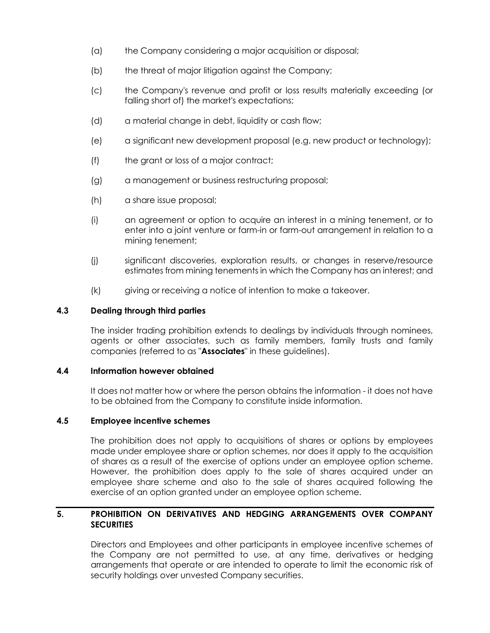- (a) the Company considering a major acquisition or disposal;
- (b) the threat of major litigation against the Company;
- (c) the Company's revenue and profit or loss results materially exceeding (or falling short of) the market's expectations;
- (d) a material change in debt, liquidity or cash flow;
- (e) a significant new development proposal (e.g. new product or technology);
- (f) the grant or loss of a major contract;
- (g) a management or business restructuring proposal;
- (h) a share issue proposal;
- (i) an agreement or option to acquire an interest in a mining tenement, or to enter into a joint venture or farm-in or farm-out arrangement in relation to a mining tenement;
- (j) significant discoveries, exploration results, or changes in reserve/resource estimates from mining tenements in which the Company has an interest; and
- (k) giving or receiving a notice of intention to make a takeover.

#### **4.3 Dealing through third parties**

The insider trading prohibition extends to dealings by individuals through nominees, agents or other associates, such as family members, family trusts and family companies (referred to as "**Associates**" in these guidelines).

#### **4.4 Information however obtained**

It does not matter how or where the person obtains the information - it does not have to be obtained from the Company to constitute inside information.

## **4.5 Employee incentive schemes**

The prohibition does not apply to acquisitions of shares or options by employees made under employee share or option schemes, nor does it apply to the acquisition of shares as a result of the exercise of options under an employee option scheme. However, the prohibition does apply to the sale of shares acquired under an employee share scheme and also to the sale of shares acquired following the exercise of an option granted under an employee option scheme.

## **5. PROHIBITION ON DERIVATIVES AND HEDGING ARRANGEMENTS OVER COMPANY SECURITIES**

Directors and Employees and other participants in employee incentive schemes of the Company are not permitted to use, at any time, derivatives or hedging arrangements that operate or are intended to operate to limit the economic risk of security holdings over unvested Company securities.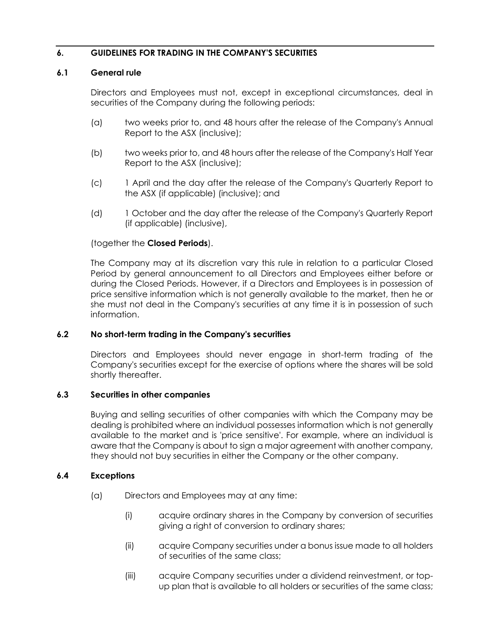## **6. GUIDELINES FOR TRADING IN THE COMPANY'S SECURITIES**

#### **6.1 General rule**

Directors and Employees must not, except in exceptional circumstances, deal in securities of the Company during the following periods:

- (a) two weeks prior to, and 48 hours after the release of the Company's Annual Report to the ASX (inclusive);
- (b) two weeks prior to, and 48 hours after the release of the Company's Half Year Report to the ASX (inclusive);
- (c) 1 April and the day after the release of the Company's Quarterly Report to the ASX (if applicable) (inclusive); and
- (d) 1 October and the day after the release of the Company's Quarterly Report (if applicable) (inclusive),

#### (together the **Closed Periods**).

The Company may at its discretion vary this rule in relation to a particular Closed Period by general announcement to all Directors and Employees either before or during the Closed Periods. However, if a Directors and Employees is in possession of price sensitive information which is not generally available to the market, then he or she must not deal in the Company's securities at any time it is in possession of such information.

#### **6.2 No short-term trading in the Company's securities**

Directors and Employees should never engage in short-term trading of the Company's securities except for the exercise of options where the shares will be sold shortly thereafter.

#### **6.3 Securities in other companies**

Buying and selling securities of other companies with which the Company may be dealing is prohibited where an individual possesses information which is not generally available to the market and is 'price sensitive'. For example, where an individual is aware that the Company is about to sign a major agreement with another company, they should not buy securities in either the Company or the other company.

#### **6.4 Exceptions**

- (a) Directors and Employees may at any time:
	- (i) acquire ordinary shares in the Company by conversion of securities giving a right of conversion to ordinary shares;
	- (ii) acquire Company securities under a bonus issue made to all holders of securities of the same class;
	- (iii) acquire Company securities under a dividend reinvestment, or topup plan that is available to all holders or securities of the same class;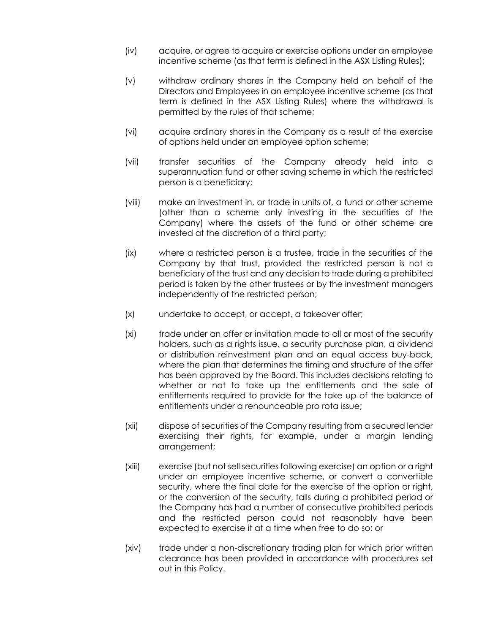- (iv) acquire, or agree to acquire or exercise options under an employee incentive scheme (as that term is defined in the ASX Listing Rules);
- (v) withdraw ordinary shares in the Company held on behalf of the Directors and Employees in an employee incentive scheme (as that term is defined in the ASX Listing Rules) where the withdrawal is permitted by the rules of that scheme;
- (vi) acquire ordinary shares in the Company as a result of the exercise of options held under an employee option scheme;
- (vii) transfer securities of the Company already held into a superannuation fund or other saving scheme in which the restricted person is a beneficiary;
- (viii) make an investment in, or trade in units of, a fund or other scheme (other than a scheme only investing in the securities of the Company) where the assets of the fund or other scheme are invested at the discretion of a third party;
- (ix) where a restricted person is a trustee, trade in the securities of the Company by that trust, provided the restricted person is not a beneficiary of the trust and any decision to trade during a prohibited period is taken by the other trustees or by the investment managers independently of the restricted person;
- (x) undertake to accept, or accept, a takeover offer;
- (xi) trade under an offer or invitation made to all or most of the security holders, such as a rights issue, a security purchase plan, a dividend or distribution reinvestment plan and an equal access buy-back, where the plan that determines the timing and structure of the offer has been approved by the Board. This includes decisions relating to whether or not to take up the entitlements and the sale of entitlements required to provide for the take up of the balance of entitlements under a renounceable pro rota issue;
- (xii) dispose of securities of the Company resulting from a secured lender exercising their rights, for example, under a margin lending arrangement;
- (xiii) exercise (but not sell securities following exercise) an option or a right under an employee incentive scheme, or convert a convertible security, where the final date for the exercise of the option or right, or the conversion of the security, falls during a prohibited period or the Company has had a number of consecutive prohibited periods and the restricted person could not reasonably have been expected to exercise it at a time when free to do so; or
- (xiv) trade under a non-discretionary trading plan for which prior written clearance has been provided in accordance with procedures set out in this Policy.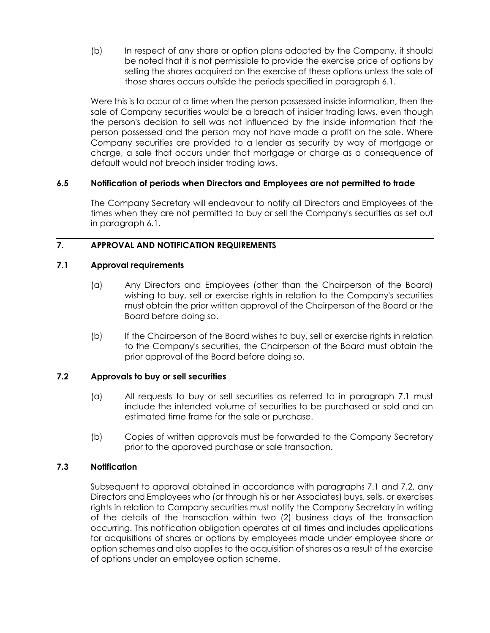(b) In respect of any share or option plans adopted by the Company, it should be noted that it is not permissible to provide the exercise price of options by selling the shares acquired on the exercise of these options unless the sale of those shares occurs outside the periods specified in paragraph 6.1.

Were this is to occur at a time when the person possessed inside information, then the sale of Company securities would be a breach of insider trading laws, even though the person's decision to sell was not influenced by the inside information that the person possessed and the person may not have made a profit on the sale. Where Company securities are provided to a lender as security by way of mortgage or charge, a sale that occurs under that mortgage or charge as a consequence of default would not breach insider trading laws.

## **6.5 Notification of periods when Directors and Employees are not permitted to trade**

The Company Secretary will endeavour to notify all Directors and Employees of the times when they are not permitted to buy or sell the Company's securities as set out in paragraph 6.1.

## **7. APPROVAL AND NOTIFICATION REQUIREMENTS**

## **7.1 Approval requirements**

- (a) Any Directors and Employees (other than the Chairperson of the Board) wishing to buy, sell or exercise rights in relation to the Company's securities must obtain the prior written approval of the Chairperson of the Board or the Board before doing so.
- (b) If the Chairperson of the Board wishes to buy, sell or exercise rights in relation to the Company's securities, the Chairperson of the Board must obtain the prior approval of the Board before doing so.

## **7.2 Approvals to buy or sell securities**

- (a) All requests to buy or sell securities as referred to in paragraph 7.1 must include the intended volume of securities to be purchased or sold and an estimated time frame for the sale or purchase.
- (b) Copies of written approvals must be forwarded to the Company Secretary prior to the approved purchase or sale transaction.

## **7.3 Notification**

Subsequent to approval obtained in accordance with paragraphs 7.1 and 7.2, any Directors and Employees who (or through his or her Associates) buys, sells, or exercises rights in relation to Company securities must notify the Company Secretary in writing of the details of the transaction within two (2) business days of the transaction occurring. This notification obligation operates at all times and includes applications for acquisitions of shares or options by employees made under employee share or option schemes and also applies to the acquisition of shares as a result of the exercise of options under an employee option scheme.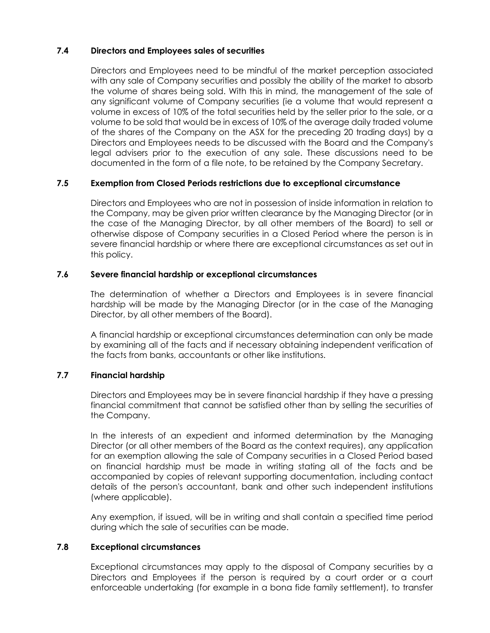## **7.4 Directors and Employees sales of securities**

Directors and Employees need to be mindful of the market perception associated with any sale of Company securities and possibly the ability of the market to absorb the volume of shares being sold. With this in mind, the management of the sale of any significant volume of Company securities (ie a volume that would represent a volume in excess of 10% of the total securities held by the seller prior to the sale, or a volume to be sold that would be in excess of 10% of the average daily traded volume of the shares of the Company on the ASX for the preceding 20 trading days) by a Directors and Employees needs to be discussed with the Board and the Company's legal advisers prior to the execution of any sale. These discussions need to be documented in the form of a file note, to be retained by the Company Secretary.

## **7.5 Exemption from Closed Periods restrictions due to exceptional circumstance**

Directors and Employees who are not in possession of inside information in relation to the Company, may be given prior written clearance by the Managing Director (or in the case of the Managing Director, by all other members of the Board) to sell or otherwise dispose of Company securities in a Closed Period where the person is in severe financial hardship or where there are exceptional circumstances as set out in this policy.

## **7.6 Severe financial hardship or exceptional circumstances**

The determination of whether a Directors and Employees is in severe financial hardship will be made by the Managing Director (or in the case of the Managing Director, by all other members of the Board).

A financial hardship or exceptional circumstances determination can only be made by examining all of the facts and if necessary obtaining independent verification of the facts from banks, accountants or other like institutions.

## **7.7 Financial hardship**

Directors and Employees may be in severe financial hardship if they have a pressing financial commitment that cannot be satisfied other than by selling the securities of the Company.

In the interests of an expedient and informed determination by the Managing Director (or all other members of the Board as the context requires), any application for an exemption allowing the sale of Company securities in a Closed Period based on financial hardship must be made in writing stating all of the facts and be accompanied by copies of relevant supporting documentation, including contact details of the person's accountant, bank and other such independent institutions (where applicable).

Any exemption, if issued, will be in writing and shall contain a specified time period during which the sale of securities can be made.

## **7.8 Exceptional circumstances**

Exceptional circumstances may apply to the disposal of Company securities by a Directors and Employees if the person is required by a court order or a court enforceable undertaking (for example in a bona fide family settlement), to transfer